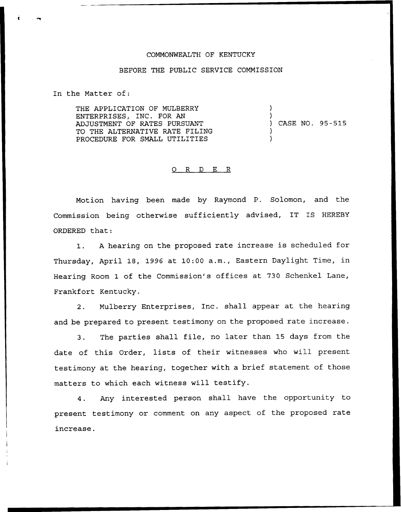## COMMONWEALTH OF KENTUCKY

## BEFORE THE PUBLIC SERVICE COMMISSION

In the Matter of:

THE APPLICATION OF MULBERRY ENTERPRISES, INC. FOR AN ADJUSTMENT OF RATES PURSUANT TO THE ALTERNATIVE RATE FILING PROCEDURE FOR SMALL UTILITIES

) ) CASE NO. 95-515

)

) )

## 0 R <sup>D</sup> E R

Motion having been made by Raymond P. Solomon, and the Commission being otherwise sufficiently advised, IT IS HEREBY ORDERED that:

1. <sup>A</sup> hearing on the proposed rate increase is scheduled for Thursday, April 18, 1996 at 10:00 a.m., Eastern Daylight Time, in Hearing Room 1 of the Commission's offices at 730 Schenkel Lane, Frankfort Kentucky.

2. Mulberry Enterprises, Inc. shall appear at the hearing and be prepared to present testimony on the proposed rate increase.

3. The parties shall file, no later than 15 days from the date of this Order, lists of their witnesses who will present testimony at the hearing, together with a brief statement of those matters to which each witness will testify.

4. Any interested person shall have the opportunity to present testimony or comment on any aspect of the proposed rate increase.